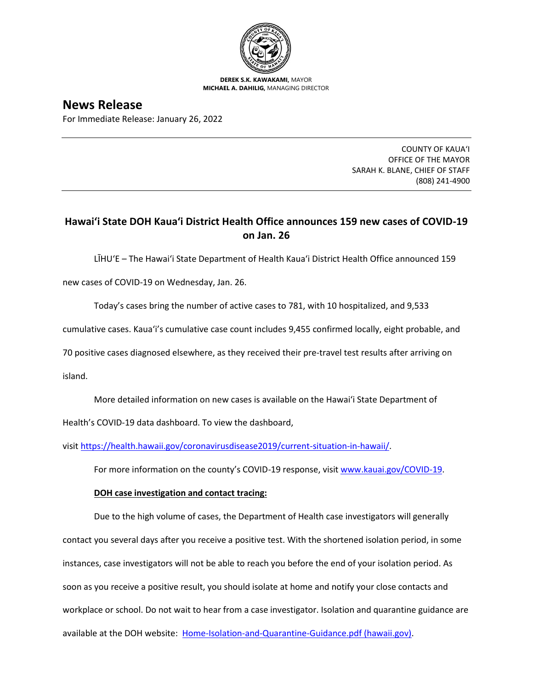

**DEREK S.K. KAWAKAMI,** MAYOR **MICHAEL A. DAHILIG,** MANAGING DIRECTOR

# **News Release**

For Immediate Release: January 26, 2022

COUNTY OF KAUA'I OFFICE OF THE MAYOR SARAH K. BLANE, CHIEF OF STAFF (808) 241-4900

## **Hawai'i State DOH Kaua'i District Health Office announces 159 new cases of COVID-19 on Jan. 26**

LĪHU'E – The Hawai'i State Department of Health Kaua'i District Health Office announced 159

new cases of COVID-19 on Wednesday, Jan. 26.

Today's cases bring the number of active cases to 781, with 10 hospitalized, and 9,533

cumulative cases. Kaua'i's cumulative case count includes 9,455 confirmed locally, eight probable, and

70 positive cases diagnosed elsewhere, as they received their pre-travel test results after arriving on

island.

More detailed information on new cases is available on the Hawai'i State Department of

Health's COVID-19 data dashboard. To view the dashboard,

visit [https://health.hawaii.gov/coronavirusdisease2019/current-situation-in-hawaii/.](https://health.hawaii.gov/coronavirusdisease2019/current-situation-in-hawaii/)

For more information on the county's COVID-19 response, visit [www.kauai.gov/COVID-19.](https://urldefense.com/v3/__http:/www.kauai.gov/COVID-19__;!!LIYSdFfckKA!l4A5nHuw73q2ubt1jVfVpBxrgAoeT-qm9LHA2X0eDo7DmU1d8EztTez1J2SRjWo05uCKvMiUtA$)

### **DOH case investigation and contact tracing:**

Due to the high volume of cases, the Department of Health case investigators will generally contact you several days after you receive a positive test. With the shortened isolation period, in some instances, case investigators will not be able to reach you before the end of your isolation period. As soon as you receive a positive result, you should isolate at home and notify your close contacts and workplace or school. Do not wait to hear from a case investigator. Isolation and quarantine guidance are available at the DOH website: [Home-Isolation-and-Quarantine-Guidance.pdf \(hawaii.gov\).](https://health.hawaii.gov/coronavirusdisease2019/files/2021/08/Home-Isolation-and-Quarantine-Guidance.pdf)